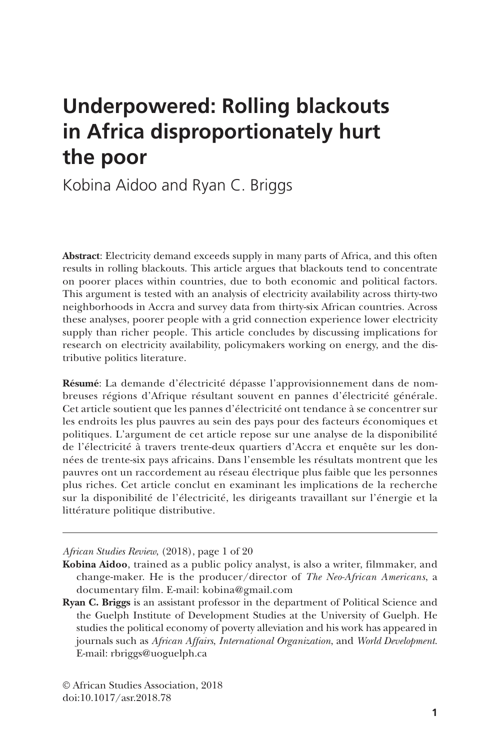# **Underpowered: Rolling blackouts in Africa disproportionately hurt the poor**

# Kobina Aidoo and Ryan C. Briggs

**Abstract**: Electricity demand exceeds supply in many parts of Africa, and this often results in rolling blackouts. This article argues that blackouts tend to concentrate on poorer places within countries, due to both economic and political factors. This argument is tested with an analysis of electricity availability across thirty-two neighborhoods in Accra and survey data from thirty-six African countries. Across these analyses, poorer people with a grid connection experience lower electricity supply than richer people. This article concludes by discussing implications for research on electricity availability, policymakers working on energy, and the distributive politics literature.

**Résumé**: La demande d'électricité dépasse l'approvisionnement dans de nombreuses régions d'Afrique résultant souvent en pannes d'électricité générale. Cet article soutient que les pannes d'électricité ont tendance à se concentrer sur les endroits les plus pauvres au sein des pays pour des facteurs économiques et politiques. L'argument de cet article repose sur une analyse de la disponibilité de l'électricité à travers trente-deux quartiers d'Accra et enquête sur les données de trente-six pays africains. Dans l'ensemble les résultats montrent que les pauvres ont un raccordement au réseau électrique plus faible que les personnes plus riches. Cet article conclut en examinant les implications de la recherche sur la disponibilité de l'électricité, les dirigeants travaillant sur l'énergie et la littérature politique distributive.

*African Studies Review*, (2018), page 1 of 20

**Kobina Aidoo**, trained as a public policy analyst, is also a writer, filmmaker, and change-maker. He is the producer/director of *The Neo-African Americans*, a documentary film. E-mail: [kobina@gmail.com](mailto:kobina@gmail.com)

**Ryan C. Briggs** is an assistant professor in the department of Political Science and the Guelph Institute of Development Studies at the University of Guelph. He studies the political economy of poverty alleviation and his work has appeared in journals such as *African Affairs*, *International Organization*, and *World Development*. E-mail: [rbriggs@uoguelph.ca](mailto:rbriggs@uoguelph.ca)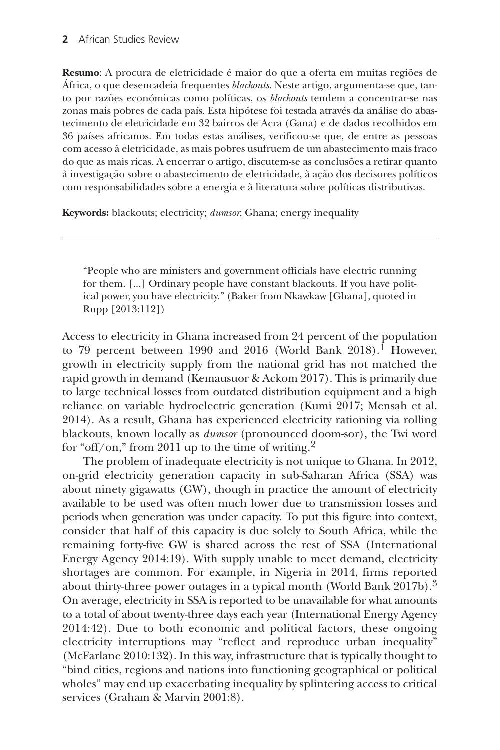**Resumo**: A procura de eletricidade é maior do que a oferta em muitas regiões de África, o que desencadeia frequentes *blackouts*. Neste artigo, argumenta-se que, tanto por razões económicas como políticas, os *blackouts* tendem a concentrar-se nas zonas mais pobres de cada país. Esta hipótese foi testada através da análise do abastecimento de eletricidade em 32 bairros de Acra (Gana) e de dados recolhidos em 36 países africanos. Em todas estas análises, verificou-se que, de entre as pessoas com acesso à eletricidade, as mais pobres usufruem de um abastecimento mais fraco do que as mais ricas. A encerrar o artigo, discutem-se as conclusões a retirar quanto à investigação sobre o abastecimento de eletricidade, à ação dos decisores políticos com responsabilidades sobre a energia e à literatura sobre políticas distributivas.

**Keywords:** blackouts; electricity; *dumsor*; Ghana; energy inequality

"People who are ministers and government officials have electric running for them. [...] Ordinary people have constant blackouts. If you have political power, you have electricity." (Baker from Nkawkaw [Ghana], quoted in Rupp [2013:112])

Access to electricity in Ghana increased from 24 percent of the population to 79 percent between 1990 and 2016 (World Bank 2018).<sup>I</sup> However, growth in electricity supply from the national grid has not matched the rapid growth in demand (Kemausuor & Ackom 2017). This is primarily due to large technical losses from outdated distribution equipment and a high reliance on variable hydroelectric generation (Kumi 2017; Mensah et al. 2014). As a result, Ghana has experienced electricity rationing via rolling blackouts, known locally as *dumsor* (pronounced doom-sor), the Twi word for "off/on," from 2011 up to the time of writing. $2$ 

The problem of inadequate electricity is not unique to Ghana. In 2012, on-grid electricity generation capacity in sub-Saharan Africa (SSA) was about ninety gigawatts (GW), though in practice the amount of electricity available to be used was often much lower due to transmission losses and periods when generation was under capacity. To put this figure into context, consider that half of this capacity is due solely to South Africa, while the remaining forty-five GW is shared across the rest of SSA (International Energy Agency 2014:19). With supply unable to meet demand, electricity shortages are common. For example, in Nigeria in 2014, firms reported about thirty-three power outages in a typical month (World Bank 2017b).3 On average, electricity in SSA is reported to be unavailable for what amounts to a total of about twenty-three days each year (International Energy Agency 2014:42). Due to both economic and political factors, these ongoing electricity interruptions may "reflect and reproduce urban inequality" (McFarlane 2010:132). In this way, infrastructure that is typically thought to "bind cities, regions and nations into functioning geographical or political wholes" may end up exacerbating inequality by splintering access to critical services (Graham & Marvin 2001:8).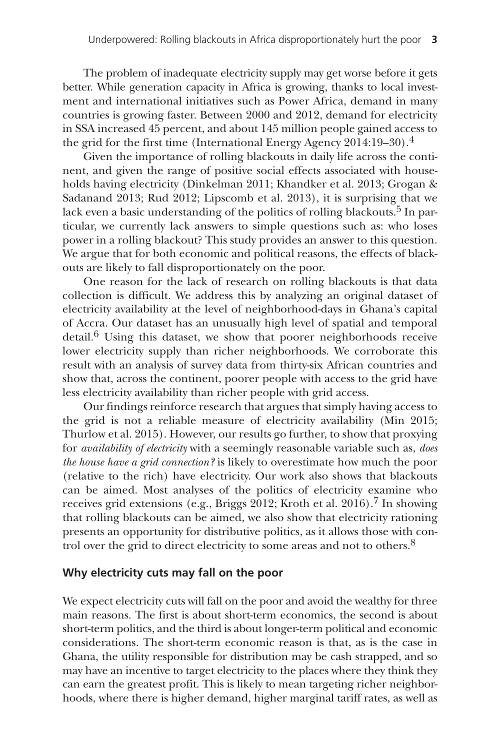The problem of inadequate electricity supply may get worse before it gets better. While generation capacity in Africa is growing, thanks to local investment and international initiatives such as Power Africa, demand in many countries is growing faster. Between 2000 and 2012, demand for electricity in SSA increased 45 percent, and about 145 million people gained access to the grid for the first time (International Energy Agency 2014:19–30).4

Given the importance of rolling blackouts in daily life across the continent, and given the range of positive social effects associated with households having electricity (Dinkelman 2011; Khandker et al. 2013; Grogan & Sadanand 2013; Rud 2012; Lipscomb et al. 2013), it is surprising that we lack even a basic understanding of the politics of rolling blackouts.<sup>5</sup> In particular, we currently lack answers to simple questions such as: who loses power in a rolling blackout? This study provides an answer to this question. We argue that for both economic and political reasons, the effects of blackouts are likely to fall disproportionately on the poor.

One reason for the lack of research on rolling blackouts is that data collection is difficult. We address this by analyzing an original dataset of electricity availability at the level of neighborhood-days in Ghana's capital of Accra. Our dataset has an unusually high level of spatial and temporal detail.6 Using this dataset, we show that poorer neighborhoods receive lower electricity supply than richer neighborhoods. We corroborate this result with an analysis of survey data from thirty-six African countries and show that, across the continent, poorer people with access to the grid have less electricity availability than richer people with grid access.

Our findings reinforce research that argues that simply having access to the grid is not a reliable measure of electricity availability (Min 2015; Thurlow et al. 2015). However, our results go further, to show that proxying for *availability of electricity* with a seemingly reasonable variable such as, *does the house have a grid connection?* is likely to overestimate how much the poor (relative to the rich) have electricity. Our work also shows that blackouts can be aimed. Most analyses of the politics of electricity examine who receives grid extensions (e.g., Briggs 2012; Kroth et al. 2016).<sup>7</sup> In showing that rolling blackouts can be aimed, we also show that electricity rationing presents an opportunity for distributive politics, as it allows those with control over the grid to direct electricity to some areas and not to others.<sup>8</sup>

#### **Why electricity cuts may fall on the poor**

We expect electricity cuts will fall on the poor and avoid the wealthy for three main reasons. The first is about short-term economics, the second is about short-term politics, and the third is about longer-term political and economic considerations. The short-term economic reason is that, as is the case in Ghana, the utility responsible for distribution may be cash strapped, and so may have an incentive to target electricity to the places where they think they can earn the greatest profit. This is likely to mean targeting richer neighborhoods, where there is higher demand, higher marginal tariff rates, as well as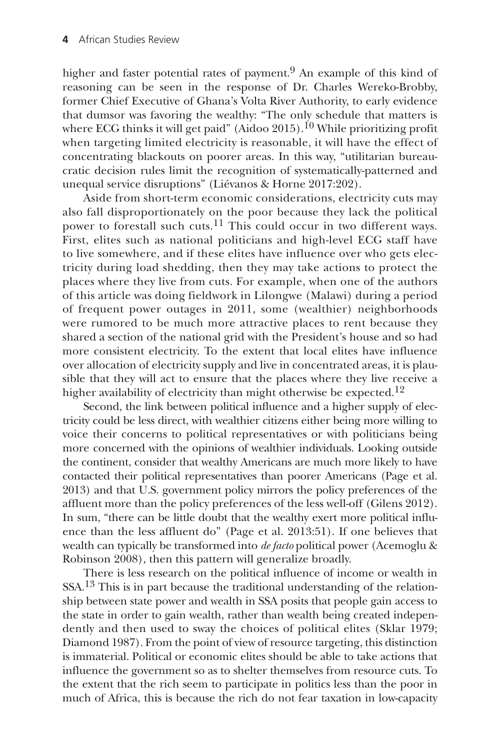higher and faster potential rates of payment.<sup>9</sup> An example of this kind of reasoning can be seen in the response of Dr. Charles Wereko-Brobby, former Chief Executive of Ghana's Volta River Authority, to early evidence that dumsor was favoring the wealthy: "The only schedule that matters is where ECG thinks it will get paid" (Aidoo 2015).<sup>10</sup> While prioritizing profit when targeting limited electricity is reasonable, it will have the effect of concentrating blackouts on poorer areas. In this way, "utilitarian bureaucratic decision rules limit the recognition of systematically-patterned and unequal service disruptions" (Liévanos & Horne 2017:202).

Aside from short-term economic considerations, electricity cuts may also fall disproportionately on the poor because they lack the political power to forestall such cuts.11 This could occur in two different ways. First, elites such as national politicians and high-level ECG staff have to live somewhere, and if these elites have influence over who gets electricity during load shedding, then they may take actions to protect the places where they live from cuts. For example, when one of the authors of this article was doing fieldwork in Lilongwe (Malawi) during a period of frequent power outages in 2011, some (wealthier) neighborhoods were rumored to be much more attractive places to rent because they shared a section of the national grid with the President's house and so had more consistent electricity. To the extent that local elites have influence over allocation of electricity supply and live in concentrated areas, it is plausible that they will act to ensure that the places where they live receive a higher availability of electricity than might otherwise be expected.<sup>12</sup>

Second, the link between political influence and a higher supply of electricity could be less direct, with wealthier citizens either being more willing to voice their concerns to political representatives or with politicians being more concerned with the opinions of wealthier individuals. Looking outside the continent, consider that wealthy Americans are much more likely to have contacted their political representatives than poorer Americans (Page et al. 2013) and that U.S. government policy mirrors the policy preferences of the affluent more than the policy preferences of the less well-off (Gilens 2012). In sum, "there can be little doubt that the wealthy exert more political influence than the less affluent do" (Page et al. 2013:51). If one believes that wealth can typically be transformed into *de facto* political power (Acemoglu & Robinson 2008), then this pattern will generalize broadly.

There is less research on the political influence of income or wealth in SSA.13 This is in part because the traditional understanding of the relationship between state power and wealth in SSA posits that people gain access to the state in order to gain wealth, rather than wealth being created independently and then used to sway the choices of political elites (Sklar 1979; Diamond 1987). From the point of view of resource targeting, this distinction is immaterial. Political or economic elites should be able to take actions that influence the government so as to shelter themselves from resource cuts. To the extent that the rich seem to participate in politics less than the poor in much of Africa, this is because the rich do not fear taxation in low-capacity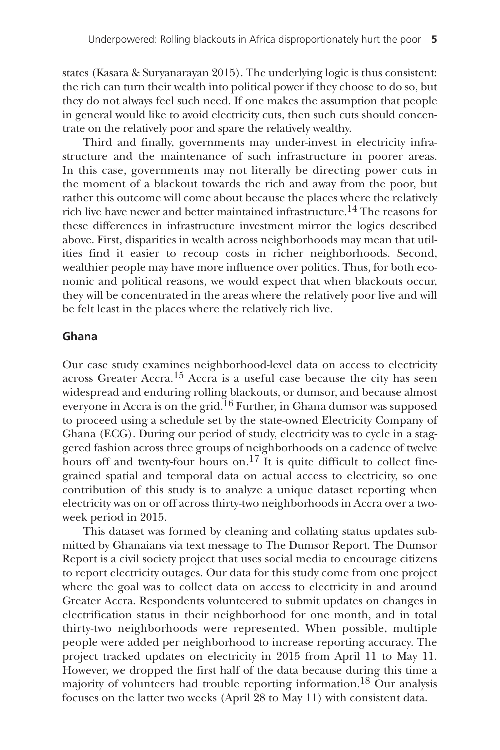states (Kasara & Suryanarayan 2015). The underlying logic is thus consistent: the rich can turn their wealth into political power if they choose to do so, but they do not always feel such need. If one makes the assumption that people in general would like to avoid electricity cuts, then such cuts should concentrate on the relatively poor and spare the relatively wealthy.

Third and finally, governments may under-invest in electricity infrastructure and the maintenance of such infrastructure in poorer areas. In this case, governments may not literally be directing power cuts in the moment of a blackout towards the rich and away from the poor, but rather this outcome will come about because the places where the relatively rich live have newer and better maintained infrastructure.14 The reasons for these differences in infrastructure investment mirror the logics described above. First, disparities in wealth across neighborhoods may mean that utilities find it easier to recoup costs in richer neighborhoods. Second, wealthier people may have more influence over politics. Thus, for both economic and political reasons, we would expect that when blackouts occur, they will be concentrated in the areas where the relatively poor live and will be felt least in the places where the relatively rich live.

#### **Ghana**

Our case study examines neighborhood-level data on access to electricity across Greater Accra.15 Accra is a useful case because the city has seen widespread and enduring rolling blackouts, or dumsor, and because almost everyone in Accra is on the grid.16 Further, in Ghana dumsor was supposed to proceed using a schedule set by the state-owned Electricity Company of Ghana (ECG). During our period of study, electricity was to cycle in a staggered fashion across three groups of neighborhoods on a cadence of twelve hours off and twenty-four hours on.17 It is quite difficult to collect finegrained spatial and temporal data on actual access to electricity, so one contribution of this study is to analyze a unique dataset reporting when electricity was on or off across thirty-two neighborhoods in Accra over a twoweek period in 2015.

This dataset was formed by cleaning and collating status updates submitted by Ghanaians via text message to The Dumsor Report. The Dumsor Report is a civil society project that uses social media to encourage citizens to report electricity outages. Our data for this study come from one project where the goal was to collect data on access to electricity in and around Greater Accra. Respondents volunteered to submit updates on changes in electrification status in their neighborhood for one month, and in total thirty-two neighborhoods were represented. When possible, multiple people were added per neighborhood to increase reporting accuracy. The project tracked updates on electricity in 2015 from April 11 to May 11. However, we dropped the first half of the data because during this time a majority of volunteers had trouble reporting information.18 Our analysis focuses on the latter two weeks (April 28 to May 11) with consistent data.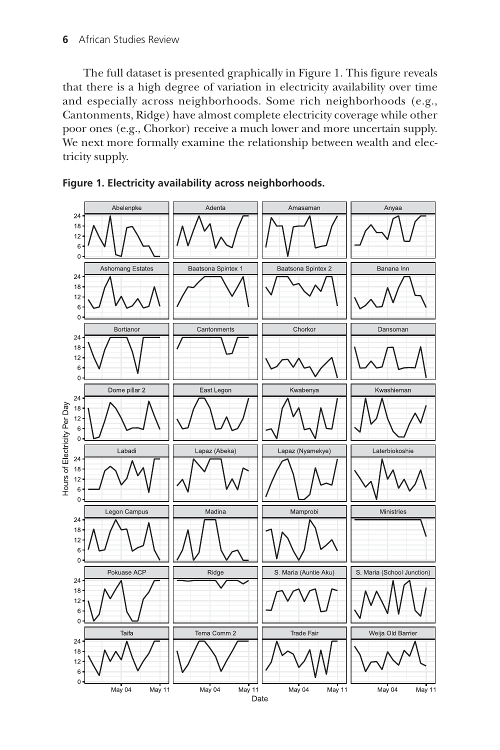The full dataset is presented graphically in Figure 1. This figure reveals that there is a high degree of variation in electricity availability over time and especially across neighborhoods. Some rich neighborhoods (e.g., Cantonments, Ridge) have almost complete electricity coverage while other poor ones (e.g., Chorkor) receive a much lower and more uncertain supply. We next more formally examine the relationship between wealth and electricity supply.



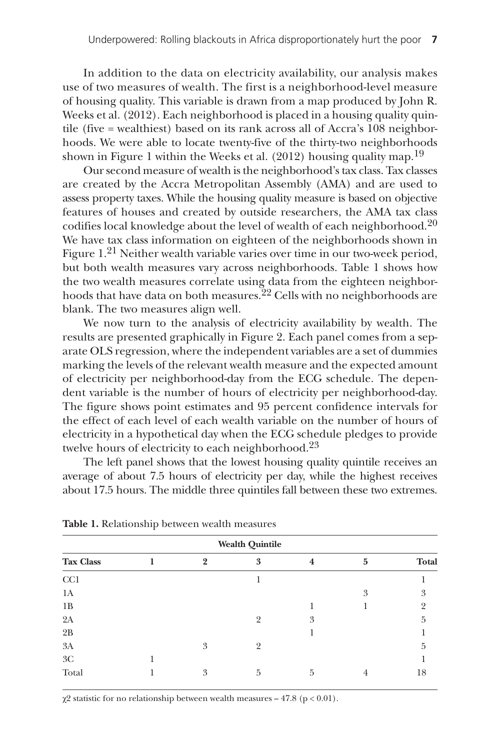In addition to the data on electricity availability, our analysis makes use of two measures of wealth. The first is a neighborhood-level measure of housing quality. This variable is drawn from a map produced by John R. Weeks et al. (2012). Each neighborhood is placed in a housing quality quintile (five = wealthiest) based on its rank across all of Accra's 108 neighborhoods. We were able to locate twenty-five of the thirty-two neighborhoods shown in Figure 1 within the Weeks et al.  $(2012)$  housing quality map.<sup>19</sup>

Our second measure of wealth is the neighborhood's tax class. Tax classes are created by the Accra Metropolitan Assembly (AMA) and are used to assess property taxes. While the housing quality measure is based on objective features of houses and created by outside researchers, the AMA tax class codifies local knowledge about the level of wealth of each neighborhood.<sup>20</sup> We have tax class information on eighteen of the neighborhoods shown in Figure 1.<sup>21</sup> Neither wealth variable varies over time in our two-week period, but both wealth measures vary across neighborhoods. Table 1 shows how the two wealth measures correlate using data from the eighteen neighborhoods that have data on both measures.<sup>22</sup> Cells with no neighborhoods are blank. The two measures align well.

We now turn to the analysis of electricity availability by wealth. The results are presented graphically in Figure 2. Each panel comes from a separate OLS regression, where the independent variables are a set of dummies marking the levels of the relevant wealth measure and the expected amount of electricity per neighborhood-day from the ECG schedule. The dependent variable is the number of hours of electricity per neighborhood-day. The figure shows point estimates and 95 percent confidence intervals for the effect of each level of each wealth variable on the number of hours of electricity in a hypothetical day when the ECG schedule pledges to provide twelve hours of electricity to each neighborhood.<sup>23</sup>

The left panel shows that the lowest housing quality quintile receives an average of about 7.5 hours of electricity per day, while the highest receives about 17.5 hours. The middle three quintiles fall between these two extremes.

| <b>Wealth Quintile</b> |  |                |                |   |   |                |  |  |  |
|------------------------|--|----------------|----------------|---|---|----------------|--|--|--|
| <b>Tax Class</b>       |  | $\overline{2}$ | 3              | 4 | 5 | <b>Total</b>   |  |  |  |
| CC1                    |  |                |                |   |   |                |  |  |  |
| 1A                     |  |                |                |   | 3 | 3              |  |  |  |
| 1B                     |  |                |                |   |   | $\overline{2}$ |  |  |  |
| 2A                     |  |                | 9              | 3 |   | 5              |  |  |  |
| $2\mathrm{B}$          |  |                |                |   |   |                |  |  |  |
| $3\mathrm{A}$          |  | 3              | $\overline{2}$ |   |   | 5              |  |  |  |
| 3C                     |  |                |                |   |   |                |  |  |  |
| Total                  |  | 3              | 5              | 5 |   | 18             |  |  |  |

**Table 1.** Relationship between wealth measures

 $\chi$ <sup>2</sup> statistic for no relationship between wealth measures – 47.8 (p < 0.01).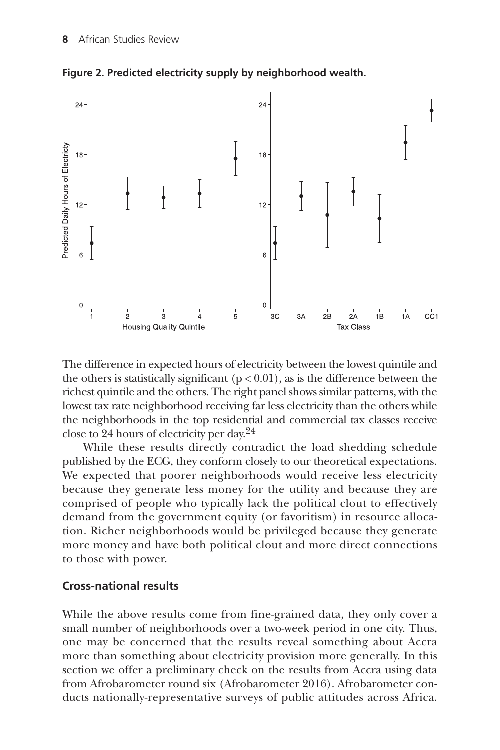

**Figure 2. Predicted electricity supply by neighborhood wealth.**

The difference in expected hours of electricity between the lowest quintile and the others is statistically significant  $(p < 0.01)$ , as is the difference between the richest quintile and the others. The right panel shows similar patterns, with the lowest tax rate neighborhood receiving far less electricity than the others while the neighborhoods in the top residential and commercial tax classes receive close to 24 hours of electricity per day.24

While these results directly contradict the load shedding schedule published by the ECG, they conform closely to our theoretical expectations. We expected that poorer neighborhoods would receive less electricity because they generate less money for the utility and because they are comprised of people who typically lack the political clout to effectively demand from the government equity (or favoritism) in resource allocation. Richer neighborhoods would be privileged because they generate more money and have both political clout and more direct connections to those with power.

#### **Cross-national results**

While the above results come from fine-grained data, they only cover a small number of neighborhoods over a two-week period in one city. Thus, one may be concerned that the results reveal something about Accra more than something about electricity provision more generally. In this section we offer a preliminary check on the results from Accra using data from Afrobarometer round six (Afrobarometer 2016). Afrobarometer conducts nationally-representative surveys of public attitudes across Africa.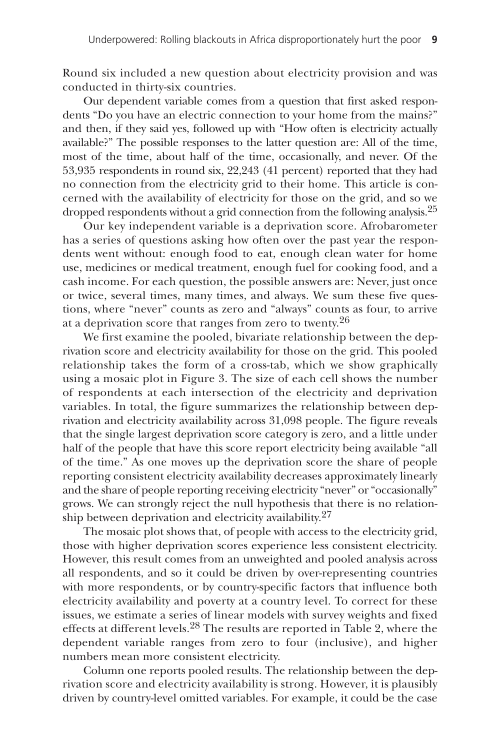Round six included a new question about electricity provision and was conducted in thirty-six countries.

Our dependent variable comes from a question that first asked respondents "Do you have an electric connection to your home from the mains?" and then, if they said yes, followed up with "How often is electricity actually available?" The possible responses to the latter question are: All of the time, most of the time, about half of the time, occasionally, and never. Of the 53,935 respondents in round six, 22,243 (41 percent) reported that they had no connection from the electricity grid to their home. This article is concerned with the availability of electricity for those on the grid, and so we dropped respondents without a grid connection from the following analysis.25

Our key independent variable is a deprivation score. Afrobarometer has a series of questions asking how often over the past year the respondents went without: enough food to eat, enough clean water for home use, medicines or medical treatment, enough fuel for cooking food, and a cash income. For each question, the possible answers are: Never, just once or twice, several times, many times, and always. We sum these five questions, where "never" counts as zero and "always" counts as four, to arrive at a deprivation score that ranges from zero to twenty.26

We first examine the pooled, bivariate relationship between the deprivation score and electricity availability for those on the grid. This pooled relationship takes the form of a cross-tab, which we show graphically using a mosaic plot in Figure 3. The size of each cell shows the number of respondents at each intersection of the electricity and deprivation variables. In total, the figure summarizes the relationship between deprivation and electricity availability across 31,098 people. The figure reveals that the single largest deprivation score category is zero, and a little under half of the people that have this score report electricity being available "all of the time." As one moves up the deprivation score the share of people reporting consistent electricity availability decreases approximately linearly and the share of people reporting receiving electricity "never" or "occasionally" grows. We can strongly reject the null hypothesis that there is no relationship between deprivation and electricity availability.<sup>27</sup>

The mosaic plot shows that, of people with access to the electricity grid, those with higher deprivation scores experience less consistent electricity. However, this result comes from an unweighted and pooled analysis across all respondents, and so it could be driven by over-representing countries with more respondents, or by country-specific factors that influence both electricity availability and poverty at a country level. To correct for these issues, we estimate a series of linear models with survey weights and fixed effects at different levels.28 The results are reported in Table 2, where the dependent variable ranges from zero to four (inclusive), and higher numbers mean more consistent electricity.

Column one reports pooled results. The relationship between the deprivation score and electricity availability is strong. However, it is plausibly driven by country-level omitted variables. For example, it could be the case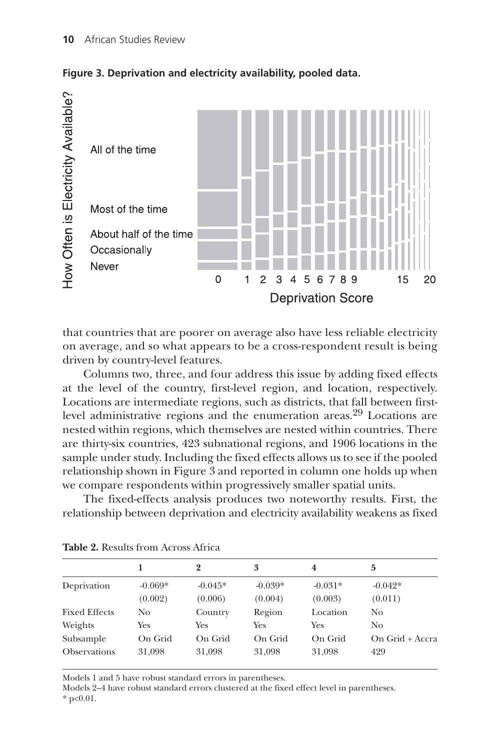

**Figure 3. Deprivation and electricity availability, pooled data.**

that countries that are poorer on average also have less reliable electricity on average, and so what appears to be a cross-respondent result is being driven by country-level features.

Columns two, three, and four address this issue by adding fixed effects at the level of the country, first-level region, and location, respectively. Locations are intermediate regions, such as districts, that fall between firstlevel administrative regions and the enumeration areas.29 Locations are nested within regions, which themselves are nested within countries. There are thirty-six countries, 423 subnational regions, and 1906 locations in the sample under study. Including the fixed effects allows us to see if the pooled relationship shown in Figure 3 and reported in column one holds up when we compare respondents within progressively smaller spatial units.

The fixed-effects analysis produces two noteworthy results. First, the relationship between deprivation and electricity availability weakens as fixed

|                      |           | $\mathbf 2$ | 3         | 4         | 5               |
|----------------------|-----------|-------------|-----------|-----------|-----------------|
| Deprivation          | $-0.069*$ | $-0.045*$   | $-0.039*$ | $-0.031*$ | $-0.042*$       |
|                      | (0.002)   | (0.006)     | (0.004)   | (0.003)   | (0.011)         |
| <b>Fixed Effects</b> | No.       | Country     | Region    | Location  | No.             |
| Weights              | Yes       | Yes         | Yes       | Yes       | No.             |
| Subsample            | On Grid   | On Grid     | On Grid   | On Grid   | On Grid + Accra |
| <b>Observations</b>  | 31,098    | 31,098      | 31,098    | 31,098    | 429             |

**Table 2.** Results from Across Africa

Models 1 and 5 have robust standard errors in parentheses.

Models 2–4 have robust standard errors clustered at the fixed effect level in parentheses.  $*$  p<0.01.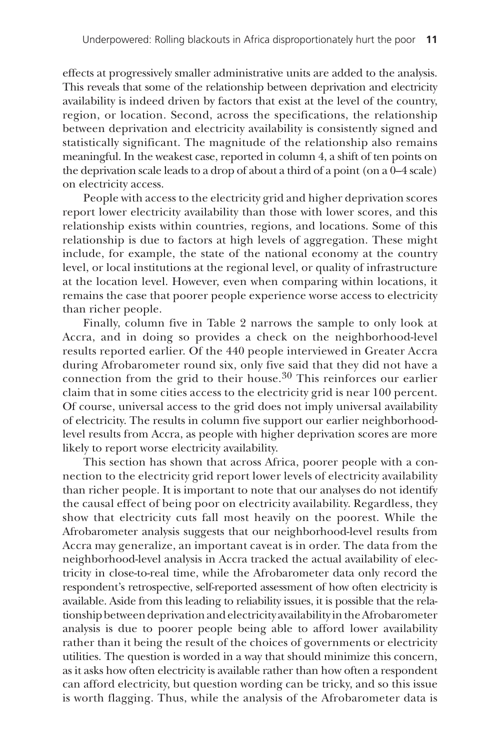effects at progressively smaller administrative units are added to the analysis. This reveals that some of the relationship between deprivation and electricity availability is indeed driven by factors that exist at the level of the country, region, or location. Second, across the specifications, the relationship between deprivation and electricity availability is consistently signed and statistically significant. The magnitude of the relationship also remains meaningful. In the weakest case, reported in column 4, a shift of ten points on the deprivation scale leads to a drop of about a third of a point (on a 0–4 scale) on electricity access.

People with access to the electricity grid and higher deprivation scores report lower electricity availability than those with lower scores, and this relationship exists within countries, regions, and locations. Some of this relationship is due to factors at high levels of aggregation. These might include, for example, the state of the national economy at the country level, or local institutions at the regional level, or quality of infrastructure at the location level. However, even when comparing within locations, it remains the case that poorer people experience worse access to electricity than richer people.

Finally, column five in Table 2 narrows the sample to only look at Accra, and in doing so provides a check on the neighborhood-level results reported earlier. Of the 440 people interviewed in Greater Accra during Afrobarometer round six, only five said that they did not have a connection from the grid to their house.30 This reinforces our earlier claim that in some cities access to the electricity grid is near 100 percent. Of course, universal access to the grid does not imply universal availability of electricity. The results in column five support our earlier neighborhoodlevel results from Accra, as people with higher deprivation scores are more likely to report worse electricity availability.

This section has shown that across Africa, poorer people with a connection to the electricity grid report lower levels of electricity availability than richer people. It is important to note that our analyses do not identify the causal effect of being poor on electricity availability. Regardless, they show that electricity cuts fall most heavily on the poorest. While the Afrobarometer analysis suggests that our neighborhood-level results from Accra may generalize, an important caveat is in order. The data from the neighborhood-level analysis in Accra tracked the actual availability of electricity in close-to-real time, while the Afrobarometer data only record the respondent's retrospective, self-reported assessment of how often electricity is available. Aside from this leading to reliability issues, it is possible that the relationship between deprivation and electricity availability in the Afrobarometer analysis is due to poorer people being able to afford lower availability rather than it being the result of the choices of governments or electricity utilities. The question is worded in a way that should minimize this concern, as it asks how often electricity is available rather than how often a respondent can afford electricity, but question wording can be tricky, and so this issue is worth flagging. Thus, while the analysis of the Afrobarometer data is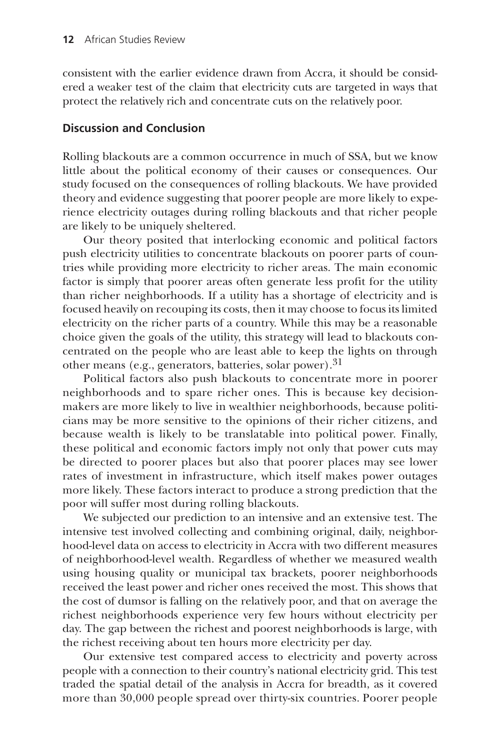consistent with the earlier evidence drawn from Accra, it should be considered a weaker test of the claim that electricity cuts are targeted in ways that protect the relatively rich and concentrate cuts on the relatively poor.

### **Discussion and Conclusion**

Rolling blackouts are a common occurrence in much of SSA, but we know little about the political economy of their causes or consequences. Our study focused on the consequences of rolling blackouts. We have provided theory and evidence suggesting that poorer people are more likely to experience electricity outages during rolling blackouts and that richer people are likely to be uniquely sheltered.

Our theory posited that interlocking economic and political factors push electricity utilities to concentrate blackouts on poorer parts of countries while providing more electricity to richer areas. The main economic factor is simply that poorer areas often generate less profit for the utility than richer neighborhoods. If a utility has a shortage of electricity and is focused heavily on recouping its costs, then it may choose to focus its limited electricity on the richer parts of a country. While this may be a reasonable choice given the goals of the utility, this strategy will lead to blackouts concentrated on the people who are least able to keep the lights on through other means (e.g., generators, batteries, solar power).31

Political factors also push blackouts to concentrate more in poorer neighborhoods and to spare richer ones. This is because key decisionmakers are more likely to live in wealthier neighborhoods, because politicians may be more sensitive to the opinions of their richer citizens, and because wealth is likely to be translatable into political power. Finally, these political and economic factors imply not only that power cuts may be directed to poorer places but also that poorer places may see lower rates of investment in infrastructure, which itself makes power outages more likely. These factors interact to produce a strong prediction that the poor will suffer most during rolling blackouts.

We subjected our prediction to an intensive and an extensive test. The intensive test involved collecting and combining original, daily, neighborhood-level data on access to electricity in Accra with two different measures of neighborhood-level wealth. Regardless of whether we measured wealth using housing quality or municipal tax brackets, poorer neighborhoods received the least power and richer ones received the most. This shows that the cost of dumsor is falling on the relatively poor, and that on average the richest neighborhoods experience very few hours without electricity per day. The gap between the richest and poorest neighborhoods is large, with the richest receiving about ten hours more electricity per day.

Our extensive test compared access to electricity and poverty across people with a connection to their country's national electricity grid. This test traded the spatial detail of the analysis in Accra for breadth, as it covered more than 30,000 people spread over thirty-six countries. Poorer people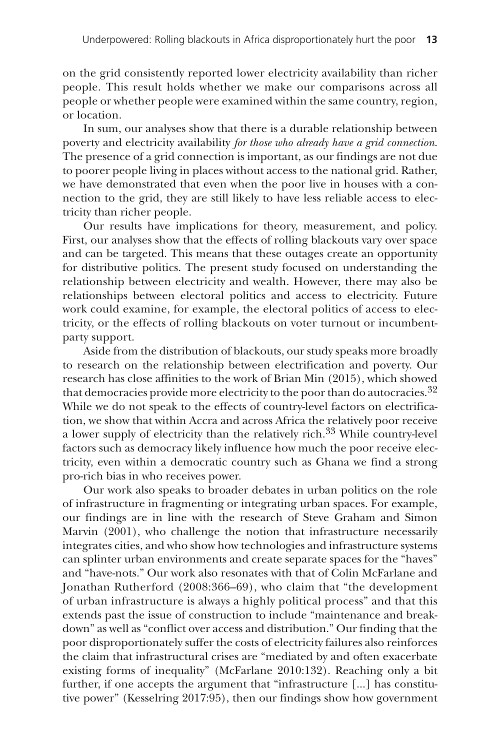on the grid consistently reported lower electricity availability than richer people. This result holds whether we make our comparisons across all people or whether people were examined within the same country, region, or location.

In sum, our analyses show that there is a durable relationship between poverty and electricity availability *for those who already have a grid connection*. The presence of a grid connection is important, as our findings are not due to poorer people living in places without access to the national grid. Rather, we have demonstrated that even when the poor live in houses with a connection to the grid, they are still likely to have less reliable access to electricity than richer people.

Our results have implications for theory, measurement, and policy. First, our analyses show that the effects of rolling blackouts vary over space and can be targeted. This means that these outages create an opportunity for distributive politics. The present study focused on understanding the relationship between electricity and wealth. However, there may also be relationships between electoral politics and access to electricity. Future work could examine, for example, the electoral politics of access to electricity, or the effects of rolling blackouts on voter turnout or incumbentparty support.

Aside from the distribution of blackouts, our study speaks more broadly to research on the relationship between electrification and poverty. Our research has close affinities to the work of Brian Min (2015), which showed that democracies provide more electricity to the poor than do autocracies.<sup>32</sup> While we do not speak to the effects of country-level factors on electrification, we show that within Accra and across Africa the relatively poor receive a lower supply of electricity than the relatively rich.33 While country-level factors such as democracy likely influence how much the poor receive electricity, even within a democratic country such as Ghana we find a strong pro-rich bias in who receives power.

Our work also speaks to broader debates in urban politics on the role of infrastructure in fragmenting or integrating urban spaces. For example, our findings are in line with the research of Steve Graham and Simon Marvin (2001), who challenge the notion that infrastructure necessarily integrates cities, and who show how technologies and infrastructure systems can splinter urban environments and create separate spaces for the "haves" and "have-nots." Our work also resonates with that of Colin McFarlane and Jonathan Rutherford (2008:366–69), who claim that "the development of urban infrastructure is always a highly political process" and that this extends past the issue of construction to include "maintenance and breakdown" as well as "conflict over access and distribution." Our finding that the poor disproportionately suffer the costs of electricity failures also reinforces the claim that infrastructural crises are "mediated by and often exacerbate existing forms of inequality" (McFarlane 2010:132). Reaching only a bit further, if one accepts the argument that "infrastructure [...] has constitutive power" (Kesselring 2017:95), then our findings show how government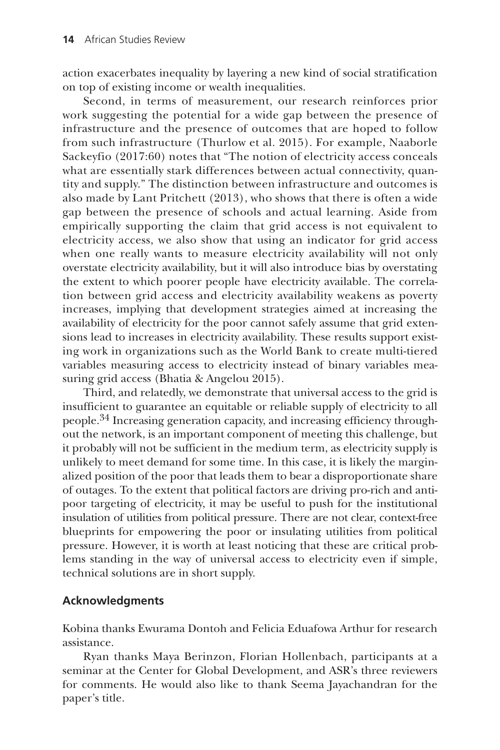action exacerbates inequality by layering a new kind of social stratification on top of existing income or wealth inequalities.

Second, in terms of measurement, our research reinforces prior work suggesting the potential for a wide gap between the presence of infrastructure and the presence of outcomes that are hoped to follow from such infrastructure (Thurlow et al. 2015). For example, Naaborle Sackeyfio (2017:60) notes that "The notion of electricity access conceals what are essentially stark differences between actual connectivity, quantity and supply." The distinction between infrastructure and outcomes is also made by Lant Pritchett (2013), who shows that there is often a wide gap between the presence of schools and actual learning. Aside from empirically supporting the claim that grid access is not equivalent to electricity access, we also show that using an indicator for grid access when one really wants to measure electricity availability will not only overstate electricity availability, but it will also introduce bias by overstating the extent to which poorer people have electricity available. The correlation between grid access and electricity availability weakens as poverty increases, implying that development strategies aimed at increasing the availability of electricity for the poor cannot safely assume that grid extensions lead to increases in electricity availability. These results support existing work in organizations such as the World Bank to create multi-tiered variables measuring access to electricity instead of binary variables measuring grid access (Bhatia & Angelou 2015).

Third, and relatedly, we demonstrate that universal access to the grid is insufficient to guarantee an equitable or reliable supply of electricity to all people.34 Increasing generation capacity, and increasing efficiency throughout the network, is an important component of meeting this challenge, but it probably will not be sufficient in the medium term, as electricity supply is unlikely to meet demand for some time. In this case, it is likely the marginalized position of the poor that leads them to bear a disproportionate share of outages. To the extent that political factors are driving pro-rich and antipoor targeting of electricity, it may be useful to push for the institutional insulation of utilities from political pressure. There are not clear, context-free blueprints for empowering the poor or insulating utilities from political pressure. However, it is worth at least noticing that these are critical problems standing in the way of universal access to electricity even if simple, technical solutions are in short supply.

## **Acknowledgments**

Kobina thanks Ewurama Dontoh and Felicia Eduafowa Arthur for research assistance.

Ryan thanks Maya Berinzon, Florian Hollenbach, participants at a seminar at the Center for Global Development, and ASR's three reviewers for comments. He would also like to thank Seema Jayachandran for the paper's title.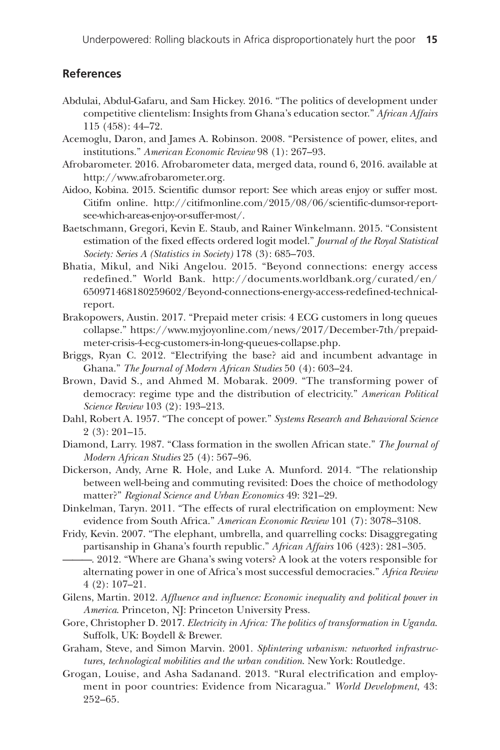#### **References**

- Abdulai, Abdul-Gafaru, and Sam Hickey. 2016. "The politics of development under competitive clientelism: Insights from Ghana's education sector." *African Affairs* 115 (458): 44–72.
- Acemoglu, Daron, and James A. Robinson. 2008. "Persistence of power, elites, and institutions." *American Economic Review* 98 (1): 267–93.
- Afrobarometer. 2016. Afrobarometer data, merged data, round 6, 2016. available at <http://www.afrobarometer.org>.
- Aidoo, Kobina. 2015. Scientific dumsor report: See which areas enjoy or suffer most. Citifm online. [http://citifmonline.com/2015/08/06/scientific-dumsor-report](http://citifmonline.com/2015/08/06/scientific-dumsor-report-see-which-areas-enjoy-or-suffer-most/)[see-which-areas-enjoy-or-suffer-most/](http://citifmonline.com/2015/08/06/scientific-dumsor-report-see-which-areas-enjoy-or-suffer-most/).
- Baetschmann, Gregori, Kevin E. Staub, and Rainer Winkelmann. 2015. "Consistent estimation of the fixed effects ordered logit model." *Journal of the Royal Statistical Society: Series A (Statistics in Society)* 178 (3): 685–703.
- Bhatia, Mikul, and Niki Angelou. 2015. "Beyond connections: energy access redefined." World Bank. [http://documents.worldbank.org/curated/en/](http://documents.worldbank.org/curated/en/650971468180259602/Beyond-connections-energy-access-redefined-technical-report) [650971468180259602/Beyond-connections-energy-access-redefined-technical](http://documents.worldbank.org/curated/en/650971468180259602/Beyond-connections-energy-access-redefined-technical-report)[report.](http://documents.worldbank.org/curated/en/650971468180259602/Beyond-connections-energy-access-redefined-technical-report)
- Brakopowers, Austin. 2017. "Prepaid meter crisis: 4 ECG customers in long queues collapse." [https://www.myjoyonline.com/news/2017/December-7th/prepaid](https://www.myjoyonline.com/news/2017/December-7th/prepaid-meter-crisis-4-ecg-customers-in-long-queues-collapse.php)[meter-crisis-4-ecg-customers-in-long-queues-collapse.php](https://www.myjoyonline.com/news/2017/December-7th/prepaid-meter-crisis-4-ecg-customers-in-long-queues-collapse.php).
- Briggs, Ryan C. 2012. "Electrifying the base? aid and incumbent advantage in Ghana." *The Journal of Modern African Studies* 50 (4): 603–24.
- Brown, David S., and Ahmed M. Mobarak. 2009. "The transforming power of democracy: regime type and the distribution of electricity." *American Political Science Review* 103 (2): 193–213.
- Dahl, Robert A. 1957. "The concept of power." *Systems Research and Behavioral Science* 2 (3): 201–15.
- Diamond, Larry. 1987. "Class formation in the swollen African state." *The Journal of Modern African Studies* 25 (4): 567–96.
- Dickerson, Andy, Arne R. Hole, and Luke A. Munford. 2014. "The relationship between well-being and commuting revisited: Does the choice of methodology matter?" *Regional Science and Urban Economics* 49: 321–29.
- Dinkelman, Taryn. 2011. "The effects of rural electrification on employment: New evidence from South Africa." *American Economic Review* 101 (7): 3078–3108.
- Fridy, Kevin. 2007. "The elephant, umbrella, and quarrelling cocks: Disaggregating partisanship in Ghana's fourth republic." *African Affairs* 106 (423): 281–305.
- ———. 2012. "Where are Ghana's swing voters? A look at the voters responsible for alternating power in one of Africa's most successful democracies." *Africa Review* 4 (2): 107–21.
- Gilens, Martin. 2012. *Affluence and influence: Economic inequality and political power in America*. Princeton, NJ: Princeton University Press.
- Gore, Christopher D. 2017. *Electricity in Africa: The politics of transformation in Uganda*. Suffolk, UK: Boydell & Brewer.
- Graham, Steve, and Simon Marvin. 2001. *Splintering urbanism: networked infrastructures, technological mobilities and the urban condition*. New York: Routledge.
- Grogan, Louise, and Asha Sadanand. 2013. "Rural electrification and employment in poor countries: Evidence from Nicaragua." *World Development*, 43: 252–65.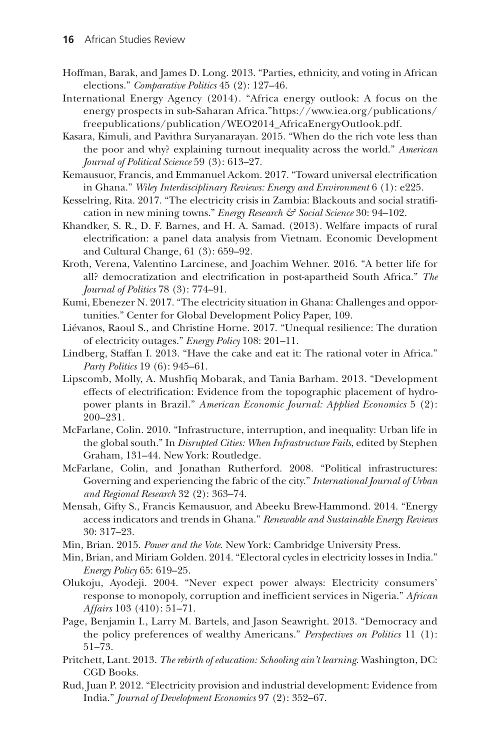- Hoffman, Barak, and James D. Long. 2013. "Parties, ethnicity, and voting in African elections." *Comparative Politics* 45 (2): 127–46.
- International Energy Agency (2014). "Africa energy outlook: A focus on the energy prospects in sub-Saharan Africa.["https://www.iea.org/publications/](https://www.iea.org/publications/freepublications/publication/WEO2014_AfricaEnergyOutlook.pdf) [freepublications/publication/WEO2014\\_AfricaEnergyOutlook.pdf](https://www.iea.org/publications/freepublications/publication/WEO2014_AfricaEnergyOutlook.pdf).
- Kasara, Kimuli, and Pavithra Suryanarayan. 2015. "When do the rich vote less than the poor and why? explaining turnout inequality across the world." *American Journal of Political Science* 59 (3): 613–27.
- Kemausuor, Francis, and Emmanuel Ackom. 2017. "Toward universal electrification in Ghana." *Wiley Interdisciplinary Reviews: Energy and Environment* 6 (1): e225.
- Kesselring, Rita. 2017. "The electricity crisis in Zambia: Blackouts and social stratification in new mining towns." *Energy Research & Social Science* 30: 94–102.
- Khandker, S. R., D. F. Barnes, and H. A. Samad. (2013). Welfare impacts of rural electrification: a panel data analysis from Vietnam. Economic Development and Cultural Change, 61 (3): 659–92.
- Kroth, Verena, Valentino Larcinese, and Joachim Wehner. 2016. "A better life for all? democratization and electrification in post-apartheid South Africa." *The Journal of Politics* 78 (3): 774–91.
- Kumi, Ebenezer N. 2017. "The electricity situation in Ghana: Challenges and opportunities." Center for Global Development Policy Paper, 109.
- Liévanos, Raoul S., and Christine Horne. 2017. "Unequal resilience: The duration of electricity outages." *Energy Policy* 108: 201–11.
- Lindberg, Staffan I. 2013. "Have the cake and eat it: The rational voter in Africa." *Party Politics* 19 (6): 945–61.
- Lipscomb, Molly, A. Mushfiq Mobarak, and Tania Barham. 2013. "Development effects of electrification: Evidence from the topographic placement of hydropower plants in Brazil." *American Economic Journal: Applied Economics* 5 (2): 200–231.
- McFarlane, Colin. 2010. "Infrastructure, interruption, and inequality: Urban life in the global south." In *Disrupted Cities: When Infrastructure Fails*, edited by Stephen Graham, 131–44. New York: Routledge.
- McFarlane, Colin, and Jonathan Rutherford. 2008. "Political infrastructures: Governing and experiencing the fabric of the city." *International Journal of Urban and Regional Research* 32 (2): 363–74.
- Mensah, Gifty S., Francis Kemausuor, and Abeeku Brew-Hammond. 2014. "Energy access indicators and trends in Ghana." *Renewable and Sustainable Energy Reviews* 30: 317–23.
- Min, Brian. 2015. *Power and the Vote*. New York: Cambridge University Press.
- Min, Brian, and Miriam Golden. 2014. "Electoral cycles in electricity losses in India." *Energy Policy* 65: 619–25.
- Olukoju, Ayodeji. 2004. "Never expect power always: Electricity consumers' response to monopoly, corruption and inefficient services in Nigeria." *African Affairs* 103 (410): 51–71.
- Page, Benjamin I., Larry M. Bartels, and Jason Seawright. 2013. "Democracy and the policy preferences of wealthy Americans." *Perspectives on Politics* 11 (1): 51–73.
- Pritchett, Lant. 2013. *The rebirth of education: Schooling ain't learning*. Washington, DC: CGD Books.
- Rud, Juan P. 2012. "Electricity provision and industrial development: Evidence from India." *Journal of Development Economics* 97 (2): 352–67.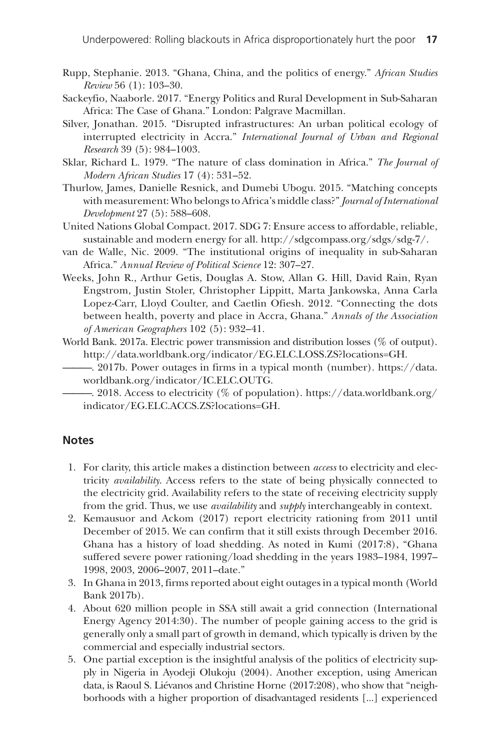- Rupp, Stephanie. 2013. "Ghana, China, and the politics of energy." *African Studies Review* 56 (1): 103–30.
- Sackeyfio, Naaborle. 2017. "Energy Politics and Rural Development in Sub-Saharan Africa: The Case of Ghana." London: Palgrave Macmillan.
- Silver, Jonathan. 2015. "Disrupted infrastructures: An urban political ecology of interrupted electricity in Accra." *International Journal of Urban and Regional Research* 39 (5): 984–1003.
- Sklar, Richard L. 1979. "The nature of class domination in Africa." *The Journal of Modern African Studies* 17 (4): 531–52.
- Thurlow, James, Danielle Resnick, and Dumebi Ubogu. 2015. "Matching concepts with measurement: Who belongs to Africa's middle class?" *Journal of International Development* 27 (5): 588–608.
- United Nations Global Compact. 2017. SDG 7: Ensure access to affordable, reliable, sustainable and modern energy for all.<http://sdgcompass.org/sdgs/sdg-7/>.
- van de Walle, Nic. 2009. "The institutional origins of inequality in sub-Saharan Africa." *Annual Review of Political Science* 12: 307–27.
- Weeks, John R., Arthur Getis, Douglas A. Stow, Allan G. Hill, David Rain, Ryan Engstrom, Justin Stoler, Christopher Lippitt, Marta Jankowska, Anna Carla Lopez-Carr, Lloyd Coulter, and Caetlin Ofiesh. 2012. "Connecting the dots between health, poverty and place in Accra, Ghana." *Annals of the Association of American Geographers* 102 (5): 932–41.
- World Bank. 2017a. Electric power transmission and distribution losses (% of output). [http://data.worldbank.org/indicator/EG.ELC.LOSS.ZS?locations=GH.](http://data.worldbank.org/indicator/EG.ELC.LOSS.ZS?locations=GH)
- ———. 2017b. Power outages in firms in a typical month (number). [https://data.](https://data.worldbank.org/indicator/IC.ELC.OUTG) [worldbank.org/indicator/IC.ELC.OUTG.](https://data.worldbank.org/indicator/IC.ELC.OUTG)
- ———. 2018. Access to electricity (% of population). [https://data.worldbank.org/](https://data.worldbank.org/indicator/EG.ELC.ACCS.ZS?locations=GH) [indicator/EG.ELC.ACCS.ZS?locations=GH.](https://data.worldbank.org/indicator/EG.ELC.ACCS.ZS?locations=GH)

#### **Notes**

- 1. For clarity, this article makes a distinction between *access* to electricity and electricity *availability*. Access refers to the state of being physically connected to the electricity grid. Availability refers to the state of receiving electricity supply from the grid. Thus, we use *availability* and *supply* interchangeably in context.
- 2. Kemausuor and Ackom (2017) report electricity rationing from 2011 until December of 2015. We can confirm that it still exists through December 2016. Ghana has a history of load shedding. As noted in Kumi (2017:8), "Ghana suffered severe power rationing/load shedding in the years 1983–1984, 1997– 1998, 2003, 2006–2007, 2011–date."
- 3. In Ghana in 2013, firms reported about eight outages in a typical month (World Bank 2017b).
- 4. About 620 million people in SSA still await a grid connection (International Energy Agency 2014:30). The number of people gaining access to the grid is generally only a small part of growth in demand, which typically is driven by the commercial and especially industrial sectors.
- 5. One partial exception is the insightful analysis of the politics of electricity supply in Nigeria in Ayodeji Olukoju (2004). Another exception, using American data, is Raoul S. Liévanos and Christine Horne (2017:208), who show that "neighborhoods with a higher proportion of disadvantaged residents [...] experienced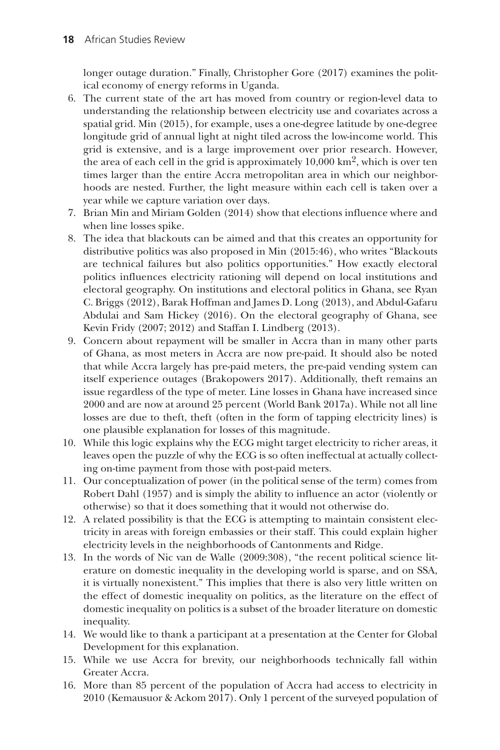longer outage duration." Finally, Christopher Gore (2017) examines the political economy of energy reforms in Uganda.

- 6. The current state of the art has moved from country or region-level data to understanding the relationship between electricity use and covariates across a spatial grid. Min (2015), for example, uses a one-degree latitude by one-degree longitude grid of annual light at night tiled across the low-income world. This grid is extensive, and is a large improvement over prior research. However, the area of each cell in the grid is approximately  $10,000 \text{ km}^2$ , which is over ten times larger than the entire Accra metropolitan area in which our neighborhoods are nested. Further, the light measure within each cell is taken over a year while we capture variation over days.
- 7. Brian Min and Miriam Golden (2014) show that elections influence where and when line losses spike.
- 8. The idea that blackouts can be aimed and that this creates an opportunity for distributive politics was also proposed in Min (2015:46), who writes "Blackouts are technical failures but also politics opportunities." How exactly electoral politics influences electricity rationing will depend on local institutions and electoral geography. On institutions and electoral politics in Ghana, see Ryan C. Briggs (2012), Barak Hoffman and James D. Long (2013), and Abdul-Gafaru Abdulai and Sam Hickey (2016). On the electoral geography of Ghana, see Kevin Fridy (2007; 2012) and Staffan I. Lindberg (2013).
- 9. Concern about repayment will be smaller in Accra than in many other parts of Ghana, as most meters in Accra are now pre-paid. It should also be noted that while Accra largely has pre-paid meters, the pre-paid vending system can itself experience outages (Brakopowers 2017). Additionally, theft remains an issue regardless of the type of meter. Line losses in Ghana have increased since 2000 and are now at around 25 percent (World Bank 2017a). While not all line losses are due to theft, theft (often in the form of tapping electricity lines) is one plausible explanation for losses of this magnitude.
- 10. While this logic explains why the ECG might target electricity to richer areas, it leaves open the puzzle of why the ECG is so often ineffectual at actually collecting on-time payment from those with post-paid meters.
- 11. Our conceptualization of power (in the political sense of the term) comes from Robert Dahl (1957) and is simply the ability to influence an actor (violently or otherwise) so that it does something that it would not otherwise do.
- 12. A related possibility is that the ECG is attempting to maintain consistent electricity in areas with foreign embassies or their staff. This could explain higher electricity levels in the neighborhoods of Cantonments and Ridge.
- 13. In the words of Nic van de Walle (2009:308), "the recent political science literature on domestic inequality in the developing world is sparse, and on SSA, it is virtually nonexistent." This implies that there is also very little written on the effect of domestic inequality on politics, as the literature on the effect of domestic inequality on politics is a subset of the broader literature on domestic inequality.
- 14. We would like to thank a participant at a presentation at the Center for Global Development for this explanation.
- 15. While we use Accra for brevity, our neighborhoods technically fall within Greater Accra.
- 16. More than 85 percent of the population of Accra had access to electricity in 2010 (Kemausuor & Ackom 2017). Only 1 percent of the surveyed population of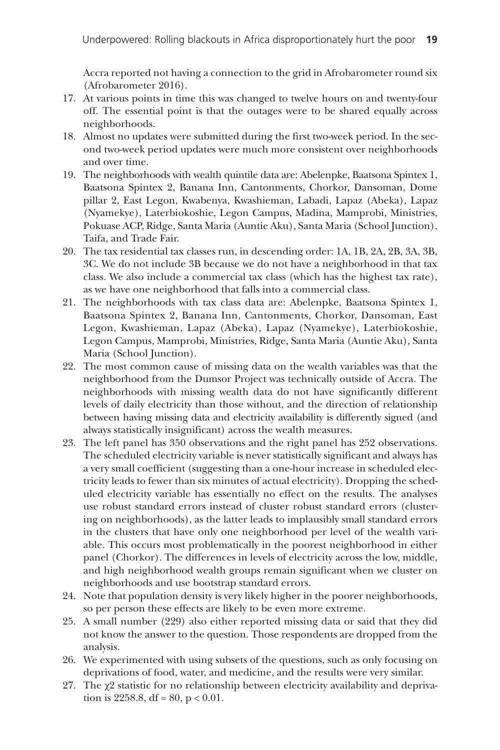Accra reported not having a connection to the grid in Afrobarometer round six (Afrobarometer 2016).

- 17. At various points in time this was changed to twelve hours on and twenty-four off. The essential point is that the outages were to be shared equally across neighborhoods.
- 18. Almost no updates were submitted during the first two-week period. In the second two-week period updates were much more consistent over neighborhoods and over time.
- 19. The neighborhoods with wealth quintile data are: Abelenpke, Baatsona Spintex 1, Baatsona Spintex 2, Banana Inn, Cantonments, Chorkor, Dansoman, Dome pillar 2, East Legon, Kwabenya, Kwashieman, Labadi, Lapaz (Abeka), Lapaz (Nyamekye), Laterbiokoshie, Legon Campus, Madina, Mamprobi, Ministries, Pokuase ACP, Ridge, Santa Maria (Auntie Aku), Santa Maria (School Junction), Taifa, and Trade Fair.
- 20. The tax residential tax classes run, in descending order: 1A, 1B, 2A, 2B, 3A, 3B, 3C. We do not include 3B because we do not have a neighborhood in that tax class. We also include a commercial tax class (which has the highest tax rate), as we have one neighborhood that falls into a commercial class.
- 21. The neighborhoods with tax class data are: Abelenpke, Baatsona Spintex 1, Baatsona Spintex 2, Banana Inn, Cantonments, Chorkor, Dansoman, East Legon, Kwashieman, Lapaz (Abeka), Lapaz (Nyamekye), Laterbiokoshie, Legon Campus, Mamprobi, Ministries, Ridge, Santa Maria (Auntie Aku), Santa Maria (School Junction).
- 22. The most common cause of missing data on the wealth variables was that the neighborhood from the Dumsor Project was technically outside of Accra. The neighborhoods with missing wealth data do not have significantly different levels of daily electricity than those without, and the direction of relationship between having missing data and electricity availability is differently signed (and always statistically insignificant) across the wealth measures.
- 23. The left panel has 350 observations and the right panel has 252 observations. The scheduled electricity variable is never statistically significant and always has a very small coefficient (suggesting than a one-hour increase in scheduled electricity leads to fewer than six minutes of actual electricity). Dropping the scheduled electricity variable has essentially no effect on the results. The analyses use robust standard errors instead of cluster robust standard errors (clustering on neighborhoods), as the latter leads to implausibly small standard errors in the clusters that have only one neighborhood per level of the wealth variable. This occurs most problematically in the poorest neighborhood in either panel (Chorkor). The differences in levels of electricity across the low, middle, and high neighborhood wealth groups remain significant when we cluster on neighborhoods and use bootstrap standard errors.
- 24. Note that population density is very likely higher in the poorer neighborhoods, so per person these effects are likely to be even more extreme.
- 25. A small number (229) also either reported missing data or said that they did not know the answer to the question. Those respondents are dropped from the analysis.
- 26. We experimented with using subsets of the questions, such as only focusing on deprivations of food, water, and medicine, and the results were very similar.
- 27. The  $\chi$ 2 statistic for no relationship between electricity availability and deprivation is 2258.8, df = 80,  $p < 0.01$ .